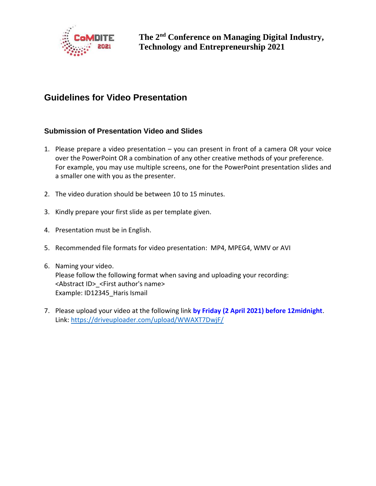

# **Guidelines for Video Presentation**

## **Submission of Presentation Video and Slides**

- 1. Please prepare a video presentation you can present in front of a camera OR your voice over the PowerPoint OR a combination of any other creative methods of your preference. For example, you may use multiple screens, one for the PowerPoint presentation slides and a smaller one with you as the presenter.
- 2. The video duration should be between 10 to 15 minutes.
- 3. Kindly prepare your first slide as per template given.
- 4. Presentation must be in English.
- 5. Recommended file formats for video presentation: MP4, MPEG4, WMV or AVI
- 6. Naming your video. Please follow the following format when saving and uploading your recording: <Abstract ID>\_<First author's name> Example: ID12345\_Haris Ismail
- 7. Please upload your video at the following link **by Friday (2 April 2021) before 12midnight**. Link:<https://driveuploader.com/upload/WWAXT7DwjF/>